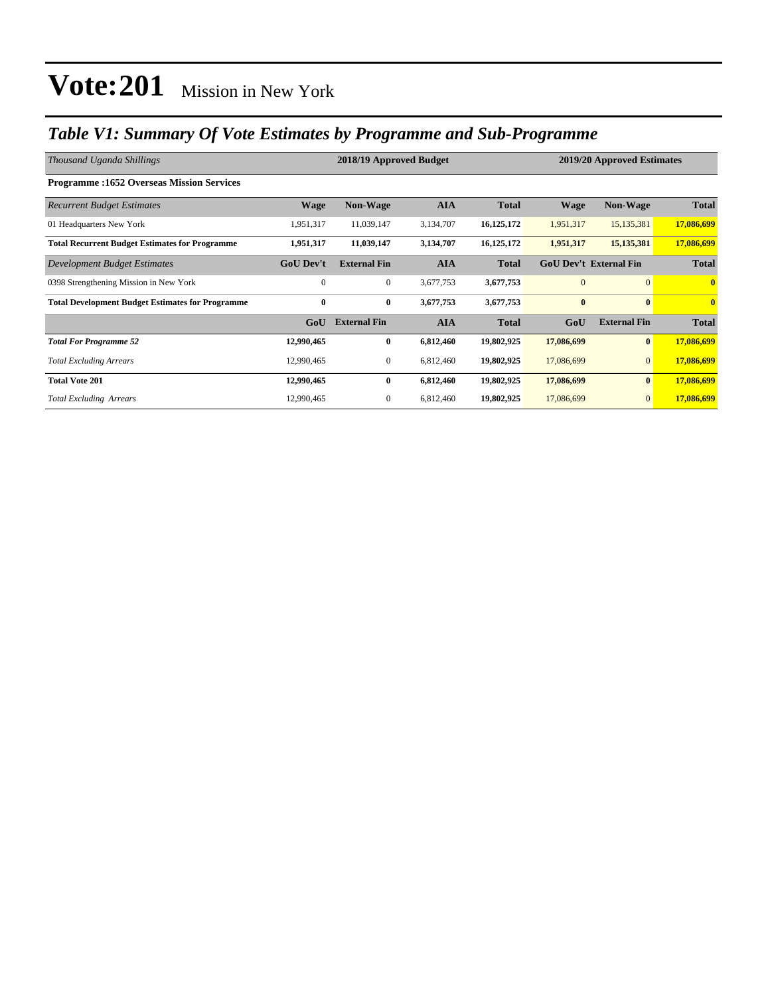### *Table V1: Summary Of Vote Estimates by Programme and Sub-Programme*

| Thousand Uganda Shillings                               |                  | 2018/19 Approved Budget | 2019/20 Approved Estimates |              |                               |                     |              |
|---------------------------------------------------------|------------------|-------------------------|----------------------------|--------------|-------------------------------|---------------------|--------------|
| <b>Programme:1652 Overseas Mission Services</b>         |                  |                         |                            |              |                               |                     |              |
| <b>Recurrent Budget Estimates</b>                       | <b>Wage</b>      | <b>Non-Wage</b>         | <b>AIA</b>                 | <b>Total</b> | <b>Wage</b>                   | <b>Non-Wage</b>     | <b>Total</b> |
| 01 Headquarters New York                                | 1,951,317        | 11,039,147              | 3,134,707                  | 16,125,172   | 1,951,317                     | 15,135,381          | 17,086,699   |
| <b>Total Recurrent Budget Estimates for Programme</b>   | 1,951,317        | 11,039,147              | 3,134,707                  | 16,125,172   | 1,951,317                     | 15, 135, 381        | 17,086,699   |
| <b>Development Budget Estimates</b>                     | <b>GoU Dev't</b> | <b>External Fin</b>     | <b>AIA</b>                 | <b>Total</b> | <b>GoU Dev't External Fin</b> |                     | <b>Total</b> |
| 0398 Strengthening Mission in New York                  | $\mathbf{0}$     | $\mathbf{0}$            | 3,677,753                  | 3,677,753    | $\overline{0}$                | $\overline{0}$      | $\mathbf{0}$ |
| <b>Total Development Budget Estimates for Programme</b> | $\bf{0}$         | $\bf{0}$                | 3,677,753                  | 3,677,753    | $\bf{0}$                      | $\mathbf{0}$        | $\mathbf{0}$ |
|                                                         | GoU              | <b>External Fin</b>     | <b>AIA</b>                 | <b>Total</b> | GoU                           | <b>External Fin</b> | <b>Total</b> |
| <b>Total For Programme 52</b>                           | 12,990,465       | $\bf{0}$                | 6,812,460                  | 19,802,925   | 17,086,699                    | $\bf{0}$            | 17,086,699   |
| <b>Total Excluding Arrears</b>                          | 12,990,465       | $\mathbf{0}$            | 6,812,460                  | 19,802,925   | 17,086,699                    | $\mathbf{0}$        | 17,086,699   |
| <b>Total Vote 201</b>                                   | 12,990,465       | $\bf{0}$                | 6,812,460                  | 19,802,925   | 17,086,699                    | $\bf{0}$            | 17,086,699   |
| <b>Total Excluding Arrears</b>                          | 12,990,465       | $\mathbf{0}$            | 6,812,460                  | 19,802,925   | 17,086,699                    | $\mathbf{0}$        | 17,086,699   |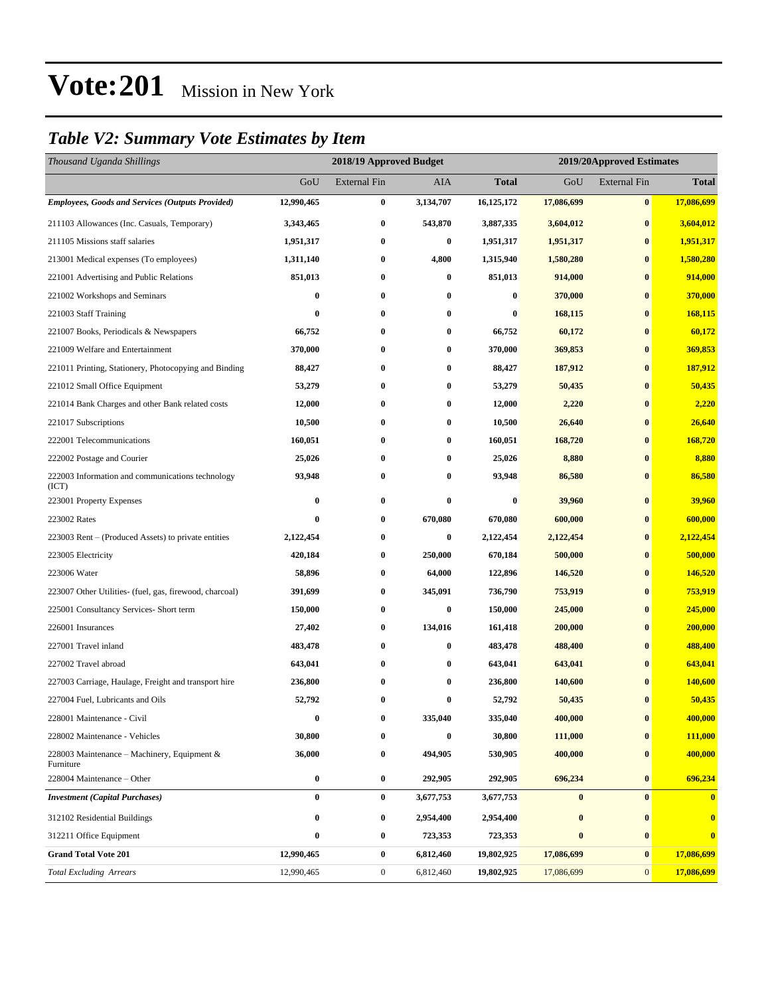### *Table V2: Summary Vote Estimates by Item*

| Thousand Uganda Shillings                                 |            | 2018/19 Approved Budget<br>2019/20Approved Estimates |           |              |            |                     |              |
|-----------------------------------------------------------|------------|------------------------------------------------------|-----------|--------------|------------|---------------------|--------------|
|                                                           | GoU        | <b>External Fin</b>                                  | AIA       | <b>Total</b> | GoU        | <b>External Fin</b> | <b>Total</b> |
| <b>Employees, Goods and Services (Outputs Provided)</b>   | 12,990,465 | $\bf{0}$                                             | 3,134,707 | 16,125,172   | 17,086,699 | $\bf{0}$            | 17,086,699   |
| 211103 Allowances (Inc. Casuals, Temporary)               | 3,343,465  | $\bf{0}$                                             | 543,870   | 3,887,335    | 3,604,012  | $\bf{0}$            | 3,604,012    |
| 211105 Missions staff salaries                            | 1,951,317  | $\bf{0}$                                             | $\bf{0}$  | 1,951,317    | 1,951,317  | $\bf{0}$            | 1,951,317    |
| 213001 Medical expenses (To employees)                    | 1,311,140  | $\bf{0}$                                             | 4,800     | 1,315,940    | 1,580,280  | $\bf{0}$            | 1,580,280    |
| 221001 Advertising and Public Relations                   | 851,013    | $\bf{0}$                                             | $\bf{0}$  | 851,013      | 914,000    | $\bf{0}$            | 914,000      |
| 221002 Workshops and Seminars                             | $\bf{0}$   | $\bf{0}$                                             | $\bf{0}$  | $\bf{0}$     | 370,000    | $\bf{0}$            | 370,000      |
| 221003 Staff Training                                     | 0          | $\bf{0}$                                             | 0         | 0            | 168,115    | $\bf{0}$            | 168,115      |
| 221007 Books, Periodicals & Newspapers                    | 66,752     | $\bf{0}$                                             | $\bf{0}$  | 66,752       | 60,172     | $\bf{0}$            | 60,172       |
| 221009 Welfare and Entertainment                          | 370,000    | $\bf{0}$                                             | $\bf{0}$  | 370,000      | 369,853    | $\bf{0}$            | 369,853      |
| 221011 Printing, Stationery, Photocopying and Binding     | 88,427     | $\bf{0}$                                             | $\bf{0}$  | 88,427       | 187,912    | $\bf{0}$            | 187,912      |
| 221012 Small Office Equipment                             | 53,279     | $\bf{0}$                                             | $\bf{0}$  | 53,279       | 50,435     | $\bf{0}$            | 50,435       |
| 221014 Bank Charges and other Bank related costs          | 12,000     | $\bf{0}$                                             | 0         | 12,000       | 2,220      | $\bf{0}$            | 2,220        |
| 221017 Subscriptions                                      | 10,500     | 0                                                    | $\bf{0}$  | 10,500       | 26,640     | $\bf{0}$            | 26,640       |
| 222001 Telecommunications                                 | 160,051    | $\bf{0}$                                             | $\bf{0}$  | 160,051      | 168,720    | $\bf{0}$            | 168,720      |
| 222002 Postage and Courier                                | 25,026     | $\bf{0}$                                             | $\bf{0}$  | 25,026       | 8,880      | $\bf{0}$            | 8,880        |
| 222003 Information and communications technology<br>(ICT) | 93,948     | $\bf{0}$                                             | $\bf{0}$  | 93,948       | 86,580     | $\bf{0}$            | 86,580       |
| 223001 Property Expenses                                  | $\bf{0}$   | $\bf{0}$                                             | $\bf{0}$  | $\bf{0}$     | 39,960     | $\bf{0}$            | 39,960       |
| 223002 Rates                                              | $\bf{0}$   | $\bf{0}$                                             | 670,080   | 670,080      | 600,000    | $\bf{0}$            | 600,000      |
| 223003 Rent – (Produced Assets) to private entities       | 2,122,454  | $\bf{0}$                                             | $\bf{0}$  | 2,122,454    | 2,122,454  | $\bf{0}$            | 2,122,454    |
| 223005 Electricity                                        | 420,184    | $\bf{0}$                                             | 250,000   | 670,184      | 500,000    | $\bf{0}$            | 500,000      |
| 223006 Water                                              | 58,896     | $\bf{0}$                                             | 64,000    | 122,896      | 146,520    | $\bf{0}$            | 146,520      |
| 223007 Other Utilities- (fuel, gas, firewood, charcoal)   | 391,699    | $\boldsymbol{0}$                                     | 345,091   | 736,790      | 753,919    | $\bf{0}$            | 753,919      |
| 225001 Consultancy Services- Short term                   | 150,000    | $\bf{0}$                                             | $\bf{0}$  | 150,000      | 245,000    | $\bf{0}$            | 245,000      |
| 226001 Insurances                                         | 27,402     | $\bf{0}$                                             | 134,016   | 161,418      | 200,000    | $\bf{0}$            | 200,000      |
| 227001 Travel inland                                      | 483,478    | $\bf{0}$                                             | $\bf{0}$  | 483,478      | 488,400    | $\bf{0}$            | 488,400      |
| 227002 Travel abroad                                      | 643,041    | 0                                                    | $\bf{0}$  | 643,041      | 643,041    | $\bf{0}$            | 643,041      |
| 227003 Carriage, Haulage, Freight and transport hire      | 236,800    | $\boldsymbol{0}$                                     | $\bf{0}$  | 236,800      | 140,600    | $\bf{0}$            | 140,600      |
| 227004 Fuel, Lubricants and Oils                          | 52,792     | $\bf{0}$                                             | $\bf{0}$  | 52,792       | 50,435     | $\bf{0}$            | 50,435       |
| 228001 Maintenance - Civil                                | 0          | 0                                                    | 335,040   | 335,040      | 400,000    | $\bf{0}$            | 400,000      |
| 228002 Maintenance - Vehicles                             | 30,800     | $\bf{0}$                                             | $\bf{0}$  | 30,800       | 111,000    | $\bf{0}$            | 111,000      |
| 228003 Maintenance – Machinery, Equipment &<br>Furniture  | 36,000     | $\bf{0}$                                             | 494,905   | 530,905      | 400,000    | $\bf{0}$            | 400,000      |
| 228004 Maintenance - Other                                | $\bf{0}$   | $\bf{0}$                                             | 292,905   | 292,905      | 696,234    | $\bf{0}$            | 696,234      |
| <b>Investment (Capital Purchases)</b>                     | $\bf{0}$   | $\bf{0}$                                             | 3,677,753 | 3,677,753    | $\pmb{0}$  | $\bf{0}$            | $\bf{0}$     |
| 312102 Residential Buildings                              | 0          | $\bf{0}$                                             | 2,954,400 | 2,954,400    | $\bf{0}$   | $\bf{0}$            | $\bf{0}$     |
| 312211 Office Equipment                                   | $\bf{0}$   | $\bf{0}$                                             | 723,353   | 723,353      | $\pmb{0}$  | $\bf{0}$            | $\bf{0}$     |
| <b>Grand Total Vote 201</b>                               | 12,990,465 | $\bf{0}$                                             | 6,812,460 | 19,802,925   | 17,086,699 | $\bf{0}$            | 17,086,699   |
| <b>Total Excluding Arrears</b>                            | 12,990,465 | $\boldsymbol{0}$                                     | 6,812,460 | 19,802,925   | 17,086,699 | $\mathbf{0}$        | 17,086,699   |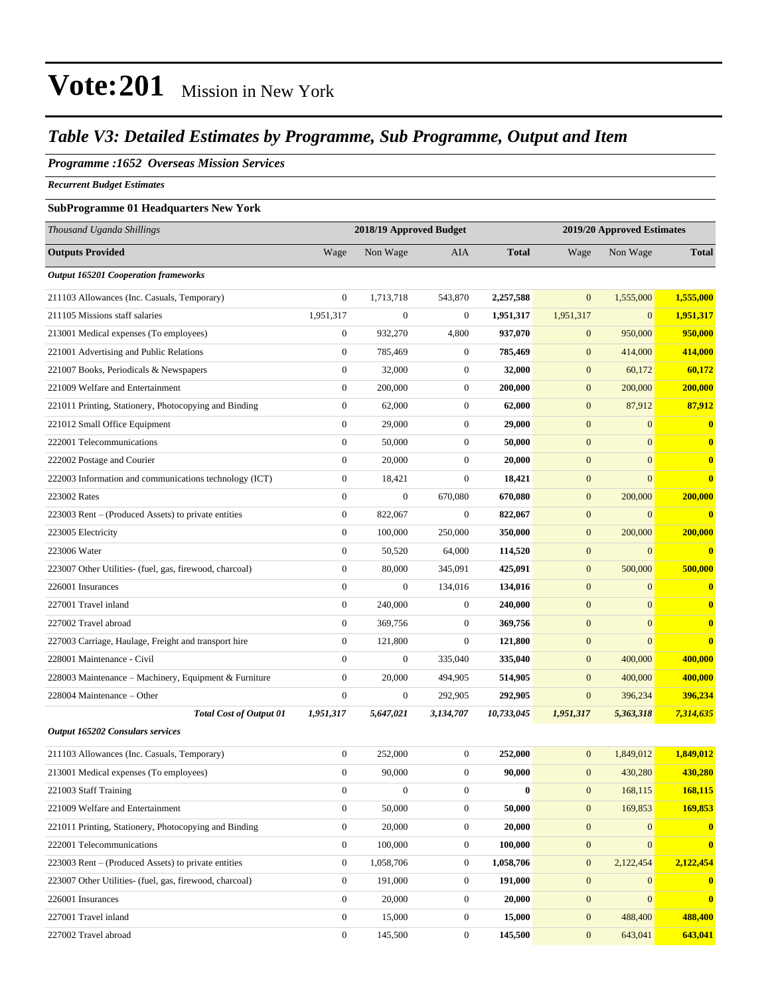### *Table V3: Detailed Estimates by Programme, Sub Programme, Output and Item*

#### *Programme :1652 Overseas Mission Services*

*Recurrent Budget Estimates*

#### **SubProgramme 01 Headquarters New York**

| Thousand Uganda Shillings                               | 2018/19 Approved Budget<br>2019/20 Approved Estimates |                  |                  |              |                  |                |              |
|---------------------------------------------------------|-------------------------------------------------------|------------------|------------------|--------------|------------------|----------------|--------------|
| <b>Outputs Provided</b>                                 | Wage                                                  | Non Wage         | <b>AIA</b>       | <b>Total</b> | Wage             | Non Wage       | <b>Total</b> |
| <b>Output 165201 Cooperation frameworks</b>             |                                                       |                  |                  |              |                  |                |              |
| 211103 Allowances (Inc. Casuals, Temporary)             | $\mathbf{0}$                                          | 1,713,718        | 543,870          | 2,257,588    | $\overline{0}$   | 1,555,000      | 1,555,000    |
| 211105 Missions staff salaries                          | 1,951,317                                             | $\boldsymbol{0}$ | $\mathbf{0}$     | 1,951,317    | 1,951,317        | $\overline{0}$ | 1,951,317    |
| 213001 Medical expenses (To employees)                  | $\boldsymbol{0}$                                      | 932,270          | 4,800            | 937,070      | $\mathbf{0}$     | 950,000        | 950,000      |
| 221001 Advertising and Public Relations                 | $\boldsymbol{0}$                                      | 785,469          | $\boldsymbol{0}$ | 785,469      | $\mathbf{0}$     | 414,000        | 414,000      |
| 221007 Books, Periodicals & Newspapers                  | $\boldsymbol{0}$                                      | 32,000           | $\boldsymbol{0}$ | 32,000       | $\boldsymbol{0}$ | 60,172         | 60,172       |
| 221009 Welfare and Entertainment                        | $\boldsymbol{0}$                                      | 200,000          | $\boldsymbol{0}$ | 200,000      | $\mathbf{0}$     | 200,000        | 200,000      |
| 221011 Printing, Stationery, Photocopying and Binding   | $\boldsymbol{0}$                                      | 62,000           | $\boldsymbol{0}$ | 62,000       | $\mathbf{0}$     | 87,912         | 87,912       |
| 221012 Small Office Equipment                           | $\boldsymbol{0}$                                      | 29,000           | $\boldsymbol{0}$ | 29,000       | $\mathbf{0}$     | $\overline{0}$ | $\bf{0}$     |
| 222001 Telecommunications                               | $\boldsymbol{0}$                                      | 50,000           | $\boldsymbol{0}$ | 50,000       | $\boldsymbol{0}$ | $\overline{0}$ | $\bf{0}$     |
| 222002 Postage and Courier                              | $\boldsymbol{0}$                                      | 20,000           | $\boldsymbol{0}$ | 20,000       | $\mathbf{0}$     | $\overline{0}$ | $\bf{0}$     |
| 222003 Information and communications technology (ICT)  | $\boldsymbol{0}$                                      | 18,421           | $\boldsymbol{0}$ | 18,421       | $\mathbf{0}$     | $\overline{0}$ | $\bf{0}$     |
| 223002 Rates                                            | $\boldsymbol{0}$                                      | $\boldsymbol{0}$ | 670,080          | 670,080      | $\mathbf{0}$     | 200,000        | 200,000      |
| 223003 Rent – (Produced Assets) to private entities     | $\boldsymbol{0}$                                      | 822,067          | $\boldsymbol{0}$ | 822,067      | $\boldsymbol{0}$ | $\overline{0}$ | $\bf{0}$     |
| 223005 Electricity                                      | $\boldsymbol{0}$                                      | 100,000          | 250,000          | 350,000      | $\mathbf{0}$     | 200,000        | 200,000      |
| 223006 Water                                            | $\boldsymbol{0}$                                      | 50,520           | 64,000           | 114,520      | $\boldsymbol{0}$ | $\overline{0}$ | $\bf{0}$     |
| 223007 Other Utilities- (fuel, gas, firewood, charcoal) | $\boldsymbol{0}$                                      | 80,000           | 345,091          | 425,091      | $\boldsymbol{0}$ | 500,000        | 500,000      |
| 226001 Insurances                                       | $\boldsymbol{0}$                                      | $\boldsymbol{0}$ | 134,016          | 134,016      | $\mathbf{0}$     | $\overline{0}$ | $\bf{0}$     |
| 227001 Travel inland                                    | $\boldsymbol{0}$                                      | 240,000          | $\boldsymbol{0}$ | 240,000      | $\mathbf{0}$     | $\overline{0}$ | $\bf{0}$     |
| 227002 Travel abroad                                    | $\boldsymbol{0}$                                      | 369,756          | $\boldsymbol{0}$ | 369,756      | $\boldsymbol{0}$ | $\overline{0}$ | $\bf{0}$     |
| 227003 Carriage, Haulage, Freight and transport hire    | $\boldsymbol{0}$                                      | 121,800          | $\boldsymbol{0}$ | 121,800      | $\mathbf{0}$     | $\overline{0}$ | $\bf{0}$     |
| 228001 Maintenance - Civil                              | $\mathbf{0}$                                          | $\boldsymbol{0}$ | 335,040          | 335,040      | $\mathbf{0}$     | 400,000        | 400,000      |
| 228003 Maintenance - Machinery, Equipment & Furniture   | $\boldsymbol{0}$                                      | 20,000           | 494,905          | 514,905      | $\mathbf{0}$     | 400,000        | 400,000      |
| 228004 Maintenance – Other                              | $\boldsymbol{0}$                                      | $\boldsymbol{0}$ | 292,905          | 292,905      | $\mathbf{0}$     | 396,234        | 396,234      |
| <b>Total Cost of Output 01</b>                          | 1,951,317                                             | 5,647,021        | 3,134,707        | 10,733,045   | 1,951,317        | 5,363,318      | 7,314,635    |
| Output 165202 Consulars services                        |                                                       |                  |                  |              |                  |                |              |
| 211103 Allowances (Inc. Casuals, Temporary)             | $\boldsymbol{0}$                                      | 252,000          | $\boldsymbol{0}$ | 252,000      | $\mathbf{0}$     | 1,849,012      | 1,849,012    |
| 213001 Medical expenses (To employees)                  | $\mathbf{0}$                                          | 90,000           | $\mathbf{0}$     | 90,000       | $\mathbf{0}$     | 430,280        | 430,280      |
| 221003 Staff Training                                   | $\boldsymbol{0}$                                      | $\boldsymbol{0}$ | $\boldsymbol{0}$ | $\bf{0}$     | $\boldsymbol{0}$ | 168,115        | 168,115      |
| 221009 Welfare and Entertainment                        | $\boldsymbol{0}$                                      | 50,000           | $\boldsymbol{0}$ | 50,000       | $\boldsymbol{0}$ | 169,853        | 169,853      |
| 221011 Printing, Stationery, Photocopying and Binding   | $\boldsymbol{0}$                                      | 20,000           | $\boldsymbol{0}$ | 20,000       | $\mathbf{0}$     | $\mathbf{0}$   | $\bf{0}$     |
| 222001 Telecommunications                               | $\boldsymbol{0}$                                      | 100,000          | $\boldsymbol{0}$ | 100,000      | $\mathbf{0}$     | $\overline{0}$ | $\bf{0}$     |
| 223003 Rent – (Produced Assets) to private entities     | $\boldsymbol{0}$                                      | 1,058,706        | $\boldsymbol{0}$ | 1,058,706    | $\boldsymbol{0}$ | 2,122,454      | 2,122,454    |
| 223007 Other Utilities- (fuel, gas, firewood, charcoal) | $\mathbf{0}$                                          | 191,000          | $\boldsymbol{0}$ | 191,000      | $\boldsymbol{0}$ | $\mathbf{0}$   | $\bf{0}$     |
| 226001 Insurances                                       | $\boldsymbol{0}$                                      | 20,000           | $\boldsymbol{0}$ | 20,000       | $\boldsymbol{0}$ | $\overline{0}$ | $\bf{0}$     |
| 227001 Travel inland                                    | $\overline{0}$                                        | 15,000           | $\boldsymbol{0}$ | 15,000       | $\mathbf{0}$     | 488,400        | 488,400      |
| 227002 Travel abroad                                    | $\boldsymbol{0}$                                      | 145,500          | $\boldsymbol{0}$ | 145,500      | $\mathbf{0}$     | 643,041        | 643,041      |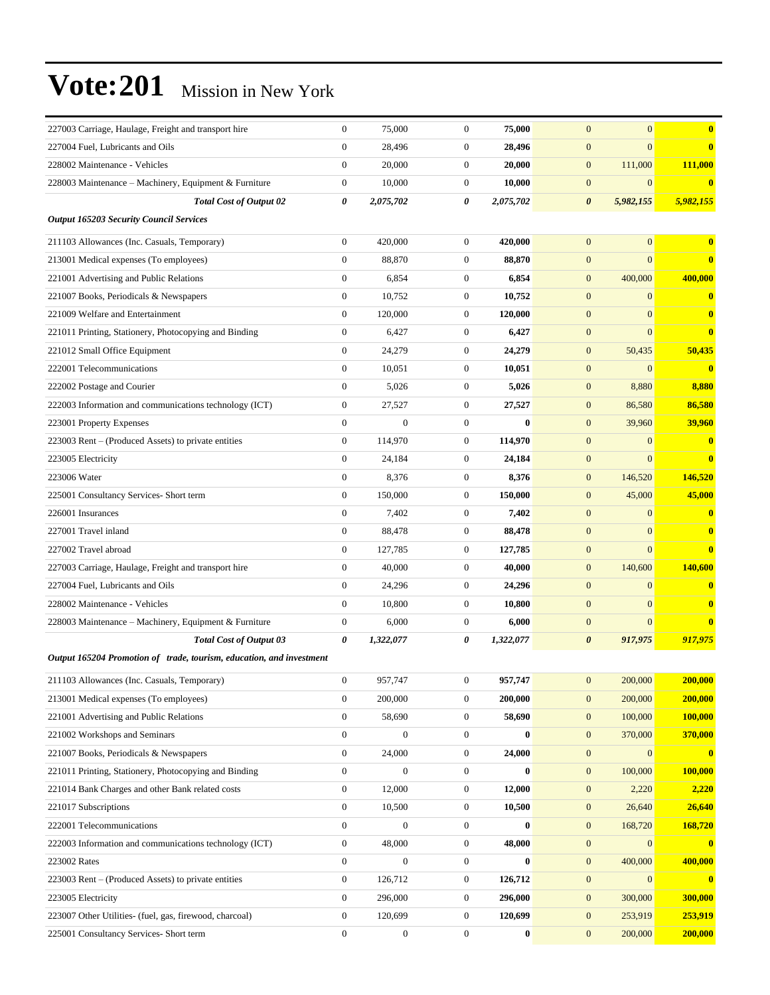| 227003 Carriage, Haulage, Freight and transport hire                 | $\mathbf{0}$     | 75,000           | $\boldsymbol{0}$ | 75,000    | $\overline{0}$<br>$\overline{0}$   | $\bf{0}$                |
|----------------------------------------------------------------------|------------------|------------------|------------------|-----------|------------------------------------|-------------------------|
| 227004 Fuel, Lubricants and Oils                                     | $\mathbf{0}$     | 28,496           | $\boldsymbol{0}$ | 28,496    | $\boldsymbol{0}$<br>$\overline{0}$ | $\bf{0}$                |
| 228002 Maintenance - Vehicles                                        | $\boldsymbol{0}$ | 20,000           | $\boldsymbol{0}$ | 20,000    | $\mathbf{0}$<br>111,000            | 111,000                 |
| 228003 Maintenance - Machinery, Equipment & Furniture                | $\boldsymbol{0}$ | 10,000           | $\mathbf{0}$     | 10.000    | $\boldsymbol{0}$<br>$\overline{0}$ | $\bf{0}$                |
| <b>Total Cost of Output 02</b>                                       | 0                | 2,075,702        | 0                | 2,075,702 | 5,982,155<br>$\boldsymbol{\theta}$ | 5,982,155               |
| <b>Output 165203 Security Council Services</b>                       |                  |                  |                  |           |                                    |                         |
| 211103 Allowances (Inc. Casuals, Temporary)                          | $\boldsymbol{0}$ | 420,000          | $\mathbf{0}$     | 420,000   | $\mathbf{0}$<br>$\overline{0}$     | $\bf{0}$                |
| 213001 Medical expenses (To employees)                               | $\mathbf{0}$     | 88,870           | $\boldsymbol{0}$ | 88,870    | $\mathbf{0}$<br>$\overline{0}$     | $\bf{0}$                |
| 221001 Advertising and Public Relations                              | $\mathbf{0}$     | 6,854            | $\mathbf{0}$     | 6,854     | $\mathbf{0}$<br>400,000            | 400,000                 |
| 221007 Books, Periodicals & Newspapers                               | $\boldsymbol{0}$ | 10,752           | $\boldsymbol{0}$ | 10,752    | $\mathbf{0}$<br>$\overline{0}$     | $\bf{0}$                |
| 221009 Welfare and Entertainment                                     | $\boldsymbol{0}$ | 120,000          | $\boldsymbol{0}$ | 120,000   | $\mathbf{0}$<br>$\overline{0}$     | $\bf{0}$                |
| 221011 Printing, Stationery, Photocopying and Binding                | $\mathbf{0}$     | 6,427            | $\mathbf{0}$     | 6,427     | $\mathbf{0}$<br>$\overline{0}$     | $\bf{0}$                |
| 221012 Small Office Equipment                                        | $\overline{0}$   | 24,279           | $\mathbf{0}$     | 24,279    | $\boldsymbol{0}$<br>50,435         | 50,435                  |
| 222001 Telecommunications                                            | $\mathbf{0}$     | 10,051           | $\mathbf{0}$     | 10,051    | $\mathbf{0}$<br>$\overline{0}$     | $\bf{0}$                |
| 222002 Postage and Courier                                           | $\overline{0}$   | 5,026            | $\boldsymbol{0}$ | 5,026     | $\mathbf{0}$<br>8,880              | 8,880                   |
| 222003 Information and communications technology (ICT)               | $\boldsymbol{0}$ | 27,527           | $\mathbf{0}$     | 27,527    | $\mathbf{0}$<br>86,580             | 86,580                  |
| 223001 Property Expenses                                             | $\mathbf{0}$     | $\overline{0}$   | $\mathbf{0}$     | $\bf{0}$  | $\mathbf{0}$<br>39,960             | 39,960                  |
| 223003 Rent – (Produced Assets) to private entities                  | $\mathbf{0}$     | 114,970          | $\mathbf{0}$     | 114,970   | $\mathbf{0}$<br>$\mathbf{0}$       | $\bf{0}$                |
| 223005 Electricity                                                   | $\mathbf{0}$     | 24,184           | $\mathbf{0}$     | 24,184    | $\boldsymbol{0}$<br>$\overline{0}$ | $\bf{0}$                |
| 223006 Water                                                         | $\overline{0}$   | 8,376            | $\boldsymbol{0}$ | 8,376     | $\mathbf{0}$<br>146,520            | 146,520                 |
| 225001 Consultancy Services- Short term                              | $\boldsymbol{0}$ | 150,000          | $\mathbf{0}$     | 150,000   | 45,000<br>$\mathbf{0}$             | 45,000                  |
| 226001 Insurances                                                    | $\boldsymbol{0}$ | 7,402            | $\mathbf{0}$     | 7,402     | $\mathbf{0}$<br>$\overline{0}$     | $\bf{0}$                |
| 227001 Travel inland                                                 | $\overline{0}$   | 88,478           | $\mathbf{0}$     | 88,478    | $\mathbf{0}$<br>$\mathbf{0}$       | $\bf{0}$                |
| 227002 Travel abroad                                                 | $\overline{0}$   | 127,785          | $\mathbf{0}$     | 127,785   | $\mathbf{0}$<br>$\overline{0}$     | $\overline{\mathbf{0}}$ |
| 227003 Carriage, Haulage, Freight and transport hire                 | $\overline{0}$   | 40,000           | $\boldsymbol{0}$ | 40,000    | $\mathbf{0}$<br>140,600            | 140,600                 |
| 227004 Fuel, Lubricants and Oils                                     | $\boldsymbol{0}$ | 24,296           | $\mathbf{0}$     | 24,296    | $\mathbf{0}$<br>$\overline{0}$     | $\bf{0}$                |
| 228002 Maintenance - Vehicles                                        | $\mathbf{0}$     | 10.800           | $\mathbf{0}$     | 10,800    | $\mathbf{0}$<br>$\overline{0}$     | $\bf{0}$                |
| 228003 Maintenance – Machinery, Equipment & Furniture                | $\boldsymbol{0}$ | 6,000            | $\mathbf{0}$     | 6,000     | $\overline{0}$<br>$\boldsymbol{0}$ | $\bf{0}$                |
| <b>Total Cost of Output 03</b>                                       | 0                | 1,322,077        | 0                | 1,322,077 | $\boldsymbol{\theta}$<br>917,975   | 917,975                 |
| Output 165204 Promotion of trade, tourism, education, and investment |                  |                  |                  |           |                                    |                         |
| 211103 Allowances (Inc. Casuals, Temporary)                          | $\mathbf{0}$     | 957,747          | $\boldsymbol{0}$ | 957,747   | 200,000<br>$\mathbf{0}$            | 200,000                 |
| 213001 Medical expenses (To employees)                               | $\mathbf{0}$     | 200,000          | $\boldsymbol{0}$ | 200,000   | $\boldsymbol{0}$<br>200,000        | 200,000                 |
| 221001 Advertising and Public Relations                              | $\boldsymbol{0}$ | 58,690           | $\boldsymbol{0}$ | 58,690    | $\mathbf{0}$<br>100,000            | 100,000                 |
| 221002 Workshops and Seminars                                        | $\boldsymbol{0}$ | $\boldsymbol{0}$ | $\boldsymbol{0}$ | $\bf{0}$  | $\boldsymbol{0}$<br>370,000        | 370,000                 |
| 221007 Books, Periodicals & Newspapers                               | $\boldsymbol{0}$ | 24,000           | $\mathbf{0}$     | 24,000    | $\boldsymbol{0}$<br>$\overline{0}$ | $\bf{0}$                |
| 221011 Printing, Stationery, Photocopying and Binding                | $\boldsymbol{0}$ | $\boldsymbol{0}$ | $\boldsymbol{0}$ | $\bf{0}$  | $\boldsymbol{0}$<br>100,000        | 100,000                 |
| 221014 Bank Charges and other Bank related costs                     | $\boldsymbol{0}$ | 12,000           | $\boldsymbol{0}$ | 12,000    | $\mathbf{0}$<br>2,220              | 2,220                   |
| 221017 Subscriptions                                                 | $\boldsymbol{0}$ | 10,500           | $\boldsymbol{0}$ | 10,500    | $\mathbf{0}$<br>26,640             | 26,640                  |
| 222001 Telecommunications                                            | $\boldsymbol{0}$ | $\boldsymbol{0}$ | $\boldsymbol{0}$ | $\bf{0}$  | $\boldsymbol{0}$<br>168,720        | 168,720                 |
| 222003 Information and communications technology (ICT)               | $\boldsymbol{0}$ | 48,000           | $\mathbf{0}$     | 48,000    | $\boldsymbol{0}$<br>$\mathbf{0}$   | $\bf{0}$                |
| 223002 Rates                                                         | $\boldsymbol{0}$ | $\boldsymbol{0}$ | $\boldsymbol{0}$ | $\bf{0}$  | $\boldsymbol{0}$<br>400,000        | 400,000                 |
| 223003 Rent – (Produced Assets) to private entities                  | $\boldsymbol{0}$ | 126,712          | $\boldsymbol{0}$ | 126,712   | $\mathbf{0}$<br>$\mathbf{0}$       | $\bf{0}$                |
| 223005 Electricity                                                   | $\boldsymbol{0}$ | 296,000          | $\boldsymbol{0}$ | 296,000   | $\boldsymbol{0}$<br>300,000        | 300,000                 |
| 223007 Other Utilities- (fuel, gas, firewood, charcoal)              | $\mathbf{0}$     | 120,699          | $\boldsymbol{0}$ | 120,699   | 253,919<br>$\boldsymbol{0}$        | 253,919                 |
| 225001 Consultancy Services- Short term                              | $\boldsymbol{0}$ | $\boldsymbol{0}$ | $\boldsymbol{0}$ | $\bf{0}$  | $\boldsymbol{0}$<br>200,000        | 200,000                 |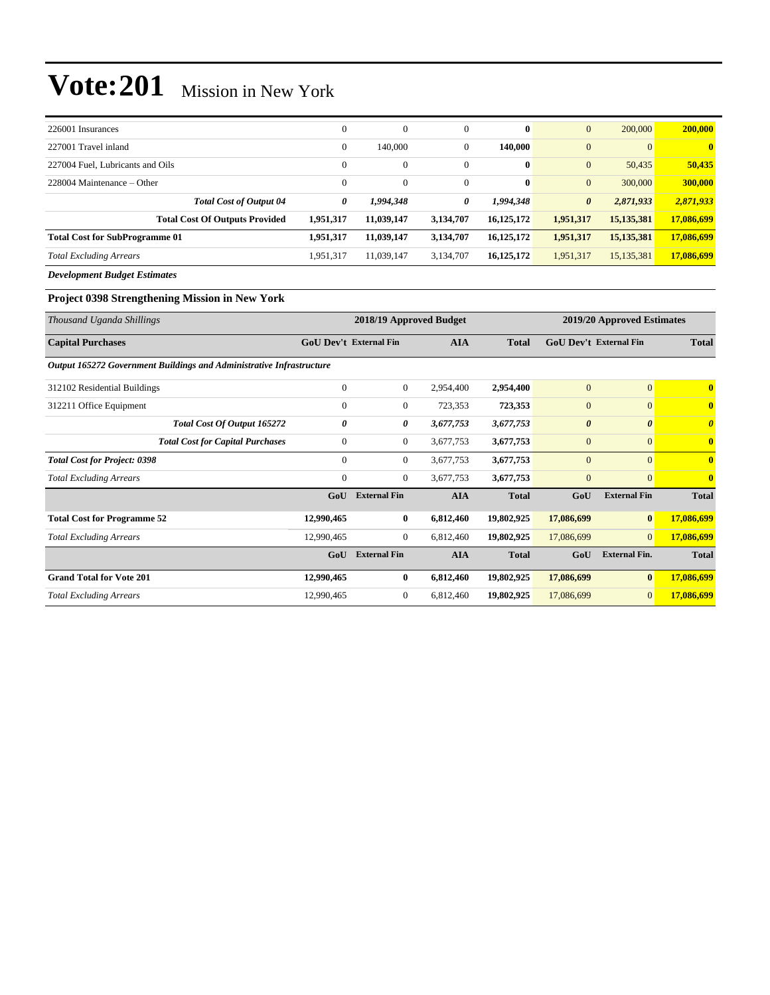| 226001 Insurances                     | $\theta$     | $\mathbf{0}$ | $\overline{0}$ | $\bf{0}$     | $\overline{0}$        | 200,000        | 200,000    |
|---------------------------------------|--------------|--------------|----------------|--------------|-----------------------|----------------|------------|
| 227001 Travel inland                  | $\mathbf{0}$ | 140,000      | $\overline{0}$ | 140,000      | $\overline{0}$        | $\overline{0}$ | $\bf{0}$   |
| 227004 Fuel, Lubricants and Oils      | $\Omega$     | $\mathbf{0}$ | $\overline{0}$ | $\bf{0}$     | $\overline{0}$        | 50,435         | 50,435     |
| $228004$ Maintenance – Other          | $\Omega$     | $\mathbf{0}$ | $\mathbf{0}$   | $\bf{0}$     | $\overline{0}$        | 300,000        | 300,000    |
| <b>Total Cost of Output 04</b>        | 0            | 1,994,348    | 0              | 1,994,348    | $\boldsymbol{\theta}$ | 2,871,933      | 2,871,933  |
| <b>Total Cost Of Outputs Provided</b> | 1,951,317    | 11,039,147   | 3,134,707      | 16,125,172   | 1,951,317             | 15, 135, 381   | 17,086,699 |
| <b>Total Cost for SubProgramme 01</b> | 1,951,317    | 11,039,147   | 3,134,707      | 16, 125, 172 | 1,951,317             | 15, 135, 381   | 17,086,699 |
| <b>Total Excluding Arrears</b>        | 1,951,317    | 11,039,147   | 3,134,707      | 16, 125, 172 | 1,951,317             | 15, 135, 381   | 17,086,699 |
| <b>Development Budget Estimates</b>   |              |              |                |              |                       |                |            |

#### **Project 0398 Strengthening Mission in New York**

| Thousand Uganda Shillings                                            | 2018/19 Approved Budget<br>2019/20 Approved Estimates |                               |            |              |                       |                               |                         |
|----------------------------------------------------------------------|-------------------------------------------------------|-------------------------------|------------|--------------|-----------------------|-------------------------------|-------------------------|
| <b>Capital Purchases</b>                                             |                                                       | <b>GoU Dev't External Fin</b> | <b>AIA</b> | <b>Total</b> |                       | <b>GoU Dev't External Fin</b> | <b>Total</b>            |
| Output 165272 Government Buildings and Administrative Infrastructure |                                                       |                               |            |              |                       |                               |                         |
| 312102 Residential Buildings                                         | $\mathbf{0}$                                          | $\boldsymbol{0}$              | 2,954,400  | 2,954,400    | $\overline{0}$        | $\overline{0}$                | $\overline{\mathbf{0}}$ |
| 312211 Office Equipment                                              | $\mathbf{0}$                                          | $\boldsymbol{0}$              | 723,353    | 723,353      | $\boldsymbol{0}$      | $\overline{0}$                | $\mathbf{0}$            |
| Total Cost Of Output 165272                                          | 0                                                     | 0                             | 3,677,753  | 3,677,753    | $\boldsymbol{\theta}$ | $\boldsymbol{\theta}$         | $\theta$                |
| <b>Total Cost for Capital Purchases</b>                              | 0                                                     | $\boldsymbol{0}$              | 3,677,753  | 3,677,753    | $\boldsymbol{0}$      | $\overline{0}$                | $\bf{0}$                |
| <b>Total Cost for Project: 0398</b>                                  | $\mathbf{0}$                                          | $\boldsymbol{0}$              | 3,677,753  | 3,677,753    | $\boldsymbol{0}$      | $\Omega$                      | $\bf{0}$                |
| <b>Total Excluding Arrears</b>                                       | $\boldsymbol{0}$                                      | $\boldsymbol{0}$              | 3,677,753  | 3,677,753    | $\boldsymbol{0}$      | $\overline{0}$                | $\mathbf{0}$            |
|                                                                      | GoU                                                   | <b>External Fin</b>           | <b>AIA</b> | <b>Total</b> | GoU                   | <b>External Fin</b>           | <b>Total</b>            |
| <b>Total Cost for Programme 52</b>                                   | 12,990,465                                            | $\bf{0}$                      | 6,812,460  | 19,802,925   | 17,086,699            | $\bf{0}$                      | 17,086,699              |
| <b>Total Excluding Arrears</b>                                       | 12,990,465                                            | $\boldsymbol{0}$              | 6,812,460  | 19,802,925   | 17,086,699            | $\overline{0}$                | 17,086,699              |
|                                                                      | GoU                                                   | <b>External Fin</b>           | <b>AIA</b> | <b>Total</b> | GoU                   | <b>External Fin.</b>          | <b>Total</b>            |
| <b>Grand Total for Vote 201</b>                                      | 12,990,465                                            | 0                             | 6,812,460  | 19,802,925   | 17,086,699            | $\bf{0}$                      | 17,086,699              |
| <b>Total Excluding Arrears</b>                                       | 12,990,465                                            | $\boldsymbol{0}$              | 6,812,460  | 19,802,925   | 17,086,699            | $\mathbf{0}$                  | 17,086,699              |